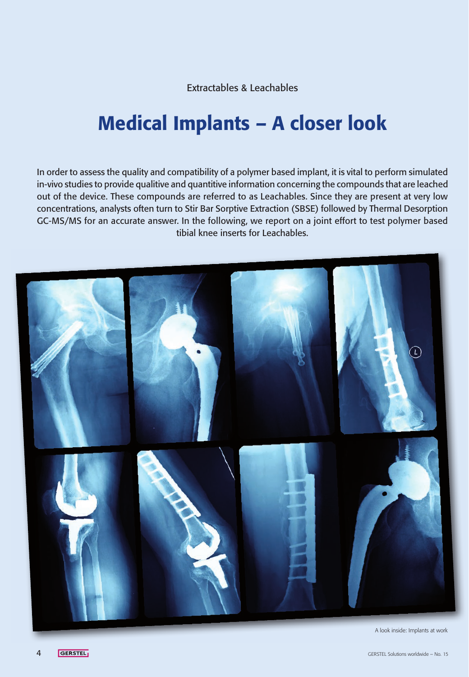Extractables & Leachables

# Medical Implants – A closer look

In order to assess the quality and compatibility of a polymer based implant, it is vital to perform simulated in-vivo studies to provide qualitive and quantitive information concerning the compounds that are leached out of the device. These compounds are referred to as Leachables. Since they are present at very low concentrations, analysts often turn to Stir Bar Sorptive Extraction (SBSE) followed by Thermal Desorption GC-MS/MS for an accurate answer. In the following, we report on a joint effort to test polymer based tibial knee inserts for Leachables.



A look inside: Implants at work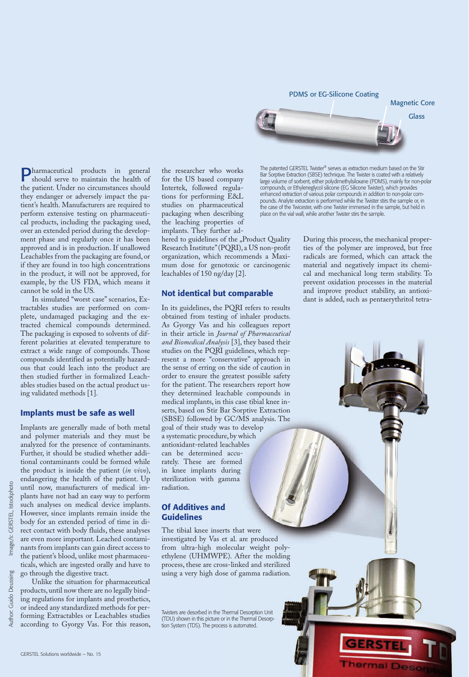PDMS or EG-Silicone Coating



The patented GERSTEL Twister® serves as extraction medium based on the Stir Bar Sorptive Extraction (SBSE) technique. The Twister is coated with a relatively large volume of sorbent, either polydimethylsiloxane (PDMS), mainly for non-polar compounds, or Ethyleneglycol silicone (EG Silicone Twister), which provides enhanced extraction of various polar compounds in addition to non-polar compounds. Analyte extraction is performed while the Twister stirs the sample or, in the case of the Twicester, with one Twister immersed in the sample, but held in place on the vial wall, while another Twister stirs the sample.

During this process, the mechanical properties of the polymer are improved, but free radicals are formed, which can attack the material and negatively impact its chemical and mechanical long term stability. To prevent oxidation processes in the material and improve product stability, an antioxidant is added, such as pentaerythritol tetra-

**Irmal Dese** 

Pharmaceutical products in general should serve to maintain the health of the patient. Under no circumstances should they endanger or adversely impact the patient's health. Manufacturers are required to perform extensive testing on pharmaceutical products, including the packaging used, over an extended period during the development phase and regularly once it has been approved and is in production. If unallowed Leachables from the packaging are found, or if they are found in too high concentrations in the product, it will not be approved, for example, by the US FDA, which means it cannot be sold in the US.

In simulated "worst case" scenarios, Extractables studies are performed on complete, undamaged packaging and the extracted chemical compounds determined. The packaging is exposed to solvents of different polarities at elevated temperature to extract a wide range of compounds. Those compounds identified as potentially hazardous that could leach into the product are then studied further in formalized Leachables studies based on the actual product using validated methods [1].

#### Implants must be safe as well

Implants are generally made of both metal and polymer materials and they must be analyzed for the presence of contaminants. Further, it should be studied whether additional contaminants could be formed while the product is inside the patient (*in vivo*), endangering the health of the patient. Up until now, manufacturers of medical implants have not had an easy way to perform such analyses on medical device implants. However, since implants remain inside the body for an extended period of time in direct contact with body fluids, these analyses are even more important. Leached contaminants from implants can gain direct access to the patient's blood, unlike most pharmaceu-

ticals, which are ingested orally and have to go through the digestive tract. Unlike the situation for pharmaceutical

GERSTEL Solutions worldwide – No. 15

products, until now there are no legally binding regulations for implants and prosthetics, or indeed any standardized methods for performing Extractables or Leachables studies according to Gyorgy Vas. For this reason, the researcher who works for the US based company Intertek, followed regulations for performing E&L studies on pharmaceutical packaging when describing the leaching properties of implants. They further ad-

hered to guidelines of the "Product Quality Research Institute" (PQRI), a US non-profit organization, which recommends a Maximum dose for genotoxic or carcinogenic leachables of 150 ng/day [2].

#### Not identical but comparable

In its guidelines, the PQRI refers to results obtained from testing of inhaler products. As Gyorgy Vas and his colleagues report in their article in *Journal of Pharmaceutical and Biomedical Analysis* [3], they based their studies on the PQRI guidelines, which represent a more "conservative" approach in the sense of erring on the side of caution in order to ensure the greatest possible safety for the patient. The researchers report how they determined leachable compounds in medical implants, in this case tibial knee inserts, based on Stir Bar Sorptive Extraction (SBSE) followed by GC/MS analysis. The goal of their study was to develop a systematic procedure, by which antioxidant-related leachables can be determined accurately. These are formed in knee implants during sterilization with gamma radiation.

# Of Additives and Guidelines

The tibial knee inserts that were investigated by Vas et al. are produced from ultra-high molecular weight polyethylene (UHMWPE). After the molding process, these are cross-linked and sterilized using a very high dose of gamma radiation.

Twisters are desorbed in the Thermal Desorption Unit (TDU) shown in this picture or in the Thermal Desorption System (TDS). The process is automated.